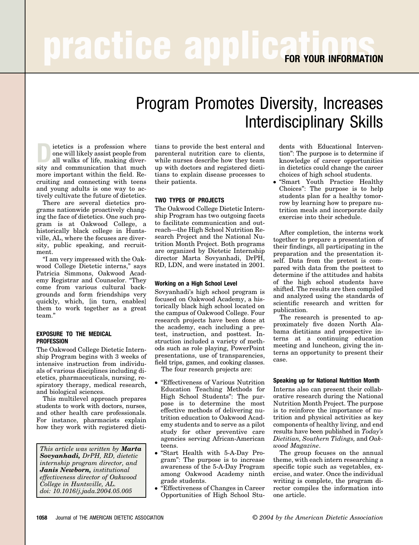# Program Promotes Diversity, Increases Interdisciplinary Skills

ietetics is a profession where one will likely assist people from all walks of life, making diversity and communication that much more important within the field. Recruiting and connecting with teens and young adults is one way to actively cultivate the future of dietetics.

There are several dietetics programs nationwide proactively changing the face of dietetics. One such program is at Oakwood College, a historically black college in Huntsville, AL, where the focuses are diversity, public speaking, and recruitment.

"I am very impressed with the Oakwood College Dietetic interns," says Patricia Simmons, Oakwood Academy Registrar and Counselor. "They come from various cultural backgrounds and form friendships very quickly, which, [in turn, enables] them to work together as a great team."

#### **EXPOSURE TO THE MEDICAL PROFESSION**

The Oakwood College Dietetic Internship Program begins with 3 weeks of intensive instruction from individuals of various disciplines including dietetics, pharmaceuticals, nursing, respiratory therapy, medical research, and biological sciences.

This multilevel approach prepares students to work with doctors, nurses, and other health care professionals. For instance, pharmacists explain how they work with registered dieti-

*This article was written by Marta Sovyanhadi, DrPH, RD, dietetic internship program director, and Janis Newborn, institutional effectiveness director of Oakwood College in Huntsville, AL. doi: 10.1016/j.jada.2004.05.005*

tians to provide the best enteral and parenteral nutrition care to clients, while nurses describe how they team up with doctors and registered dietitians to explain disease processes to their patients.

## **TWO TYPES OF PROJECTS**

The Oakwood College Dietetic Internship Program has two outgoing facets to facilitate communication and outreach—the High School Nutrition Research Project and the National Nutrition Month Project. Both programs are organized by Dietetic Internship director Marta Sovyanhadi, DrPH, RD, LDN, and were instated in 2001.

### **Working on a High School Level**

Sovyanhadi's high school program is focused on Oakwood Academy, a historically black high school located on the campus of Oakwood College. Four research projects have been done at the academy, each including a pretest, instruction, and posttest. Instruction included a variety of methods such as role playing, PowerPoint presentations, use of transparencies, field trips, games, and cooking classes.

The four research projects are:

- "Effectiveness of Various Nutrition Education Teaching Methods for High School Students": The purpose is to determine the most effective methods of delivering nutrition education to Oakwood Academy students and to serve as a pilot study for other preventive care agencies serving African-American teens.
- "Start Health with 5-A-Day Program": The purpose is to increase awareness of the 5-A-Day Program among Oakwood Academy ninth grade students.
- "Effectiveness of Changes in Career Opportunities of High School Stu-

dents with Educational Intervention": The purpose is to determine if knowledge of career opportunities in dietetics could change the career choices of high school students.

● "Smart Youth Practice Healthy Choices": The purpose is to help students plan for a healthy tomorrow by learning how to prepare nutrition meals and incorporate daily exercise into their schedule.

After completion, the interns work together to prepare a presentation of their findings, all participating in the preparation and the presentation itself. Data from the pretest is compared with data from the posttest to determine if the attitudes and habits of the high school students have shifted. The results are then compiled and analyzed using the standards of scientific research and written for publication.

The research is presented to approximately five dozen North Alabama dietitians and prospective interns at a continuing education meeting and luncheon, giving the interns an opportunity to present their case.

### **Speaking up for National Nutrition Month**

Interns also can present their collaborative research during the National Nutrition Month Project. The purpose is to reinforce the importance of nutrition and physical activities as key components of healthy living, and end results have been published in *Today's Dietitian, Southern Tidings,* and *Oakwood Magazine*.

The group focuses on the annual theme, with each intern researching a specific topic such as vegetables, exercise, and water. Once the individual writing is complete, the program director compiles the information into one article.